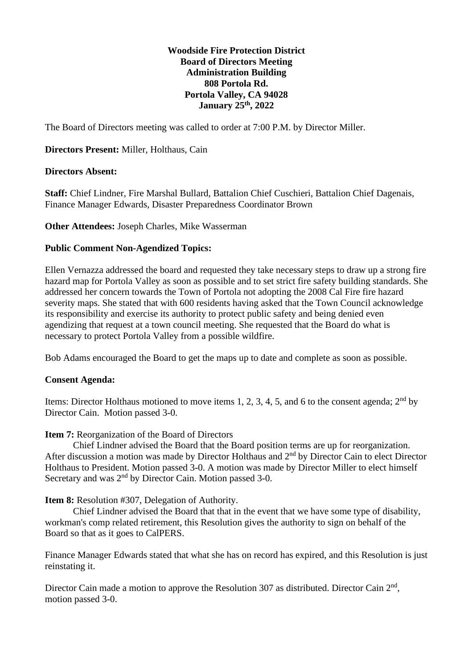### **Woodside Fire Protection District Board of Directors Meeting Administration Building 808 Portola Rd. Portola Valley, CA 94028 January 25th, 2022**

The Board of Directors meeting was called to order at 7:00 P.M. by Director Miller.

# **Directors Present:** Miller, Holthaus, Cain

#### **Directors Absent:**

**Staff:** Chief Lindner, Fire Marshal Bullard, Battalion Chief Cuschieri, Battalion Chief Dagenais, Finance Manager Edwards, Disaster Preparedness Coordinator Brown

**Other Attendees:** Joseph Charles, Mike Wasserman

### **Public Comment Non-Agendized Topics:**

Ellen Vernazza addressed the board and requested they take necessary steps to draw up a strong fire hazard map for Portola Valley as soon as possible and to set strict fire safety building standards. She addressed her concern towards the Town of Portola not adopting the 2008 Cal Fire fire hazard severity maps. She stated that with 600 residents having asked that the Town Council acknowledge its responsibility and exercise its authority to protect public safety and being denied even agendizing that request at a town council meeting. She requested that the Board do what is necessary to protect Portola Valley from a possible wildfire.

Bob Adams encouraged the Board to get the maps up to date and complete as soon as possible.

# **Consent Agenda:**

Items: Director Holthaus motioned to move items 1, 2, 3, 4, 5, and 6 to the consent agenda;  $2<sup>nd</sup>$  by Director Cain. Motion passed 3-0.

#### **Item 7:** Reorganization of the Board of Directors

Chief Lindner advised the Board that the Board position terms are up for reorganization. After discussion a motion was made by Director Holthaus and 2<sup>nd</sup> by Director Cain to elect Director Holthaus to President. Motion passed 3-0. A motion was made by Director Miller to elect himself Secretary and was 2<sup>nd</sup> by Director Cain. Motion passed 3-0.

**Item 8:** Resolution #307, Delegation of Authority.

Chief Lindner advised the Board that that in the event that we have some type of disability, workman's comp related retirement, this Resolution gives the authority to sign on behalf of the Board so that as it goes to CalPERS.

Finance Manager Edwards stated that what she has on record has expired, and this Resolution is just reinstating it.

Director Cain made a motion to approve the Resolution 307 as distributed. Director Cain 2<sup>nd</sup>, motion passed 3-0.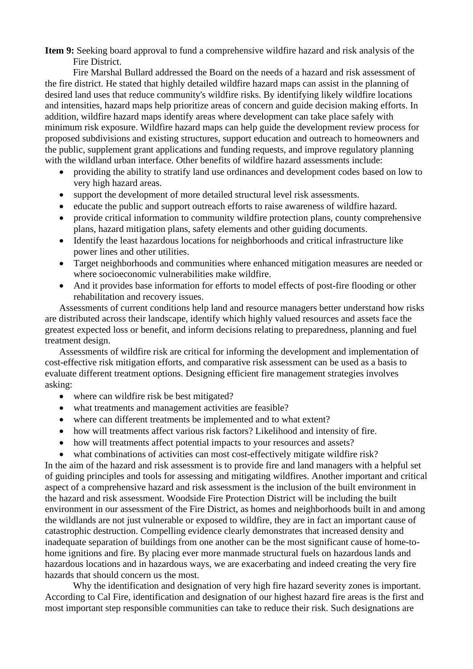**Item 9:** Seeking board approval to fund a comprehensive wildfire hazard and risk analysis of the Fire District.

Fire Marshal Bullard addressed the Board on the needs of a hazard and risk assessment of the fire district. He stated that highly detailed wildfire hazard maps can assist in the planning of desired land uses that reduce community's wildfire risks. By identifying likely wildfire locations and intensities, hazard maps help prioritize areas of concern and guide decision making efforts. In addition, wildfire hazard maps identify areas where development can take place safely with minimum risk exposure. Wildfire hazard maps can help guide the development review process for proposed subdivisions and existing structures, support education and outreach to homeowners and the public, supplement grant applications and funding requests, and improve regulatory planning with the wildland urban interface. Other benefits of wildfire hazard assessments include:

- providing the ability to stratify land use ordinances and development codes based on low to very high hazard areas.
- support the development of more detailed structural level risk assessments.
- educate the public and support outreach efforts to raise awareness of wildfire hazard.
- provide critical information to community wildfire protection plans, county comprehensive plans, hazard mitigation plans, safety elements and other guiding documents.
- Identify the least hazardous locations for neighborhoods and critical infrastructure like power lines and other utilities.
- Target neighborhoods and communities where enhanced mitigation measures are needed or where socioeconomic vulnerabilities make wildfire.
- And it provides base information for efforts to model effects of post-fire flooding or other rehabilitation and recovery issues.

Assessments of current conditions help land and resource managers better understand how risks are distributed across their landscape, identify which highly valued resources and assets face the greatest expected loss or benefit, and inform decisions relating to preparedness, planning and fuel treatment design.

Assessments of wildfire risk are critical for informing the development and implementation of cost-effective risk mitigation efforts, and comparative risk assessment can be used as a basis to evaluate different treatment options. Designing efficient fire management strategies involves asking:

- where can wildfire risk be best mitigated?
- what treatments and management activities are feasible?
- where can different treatments be implemented and to what extent?
- how will treatments affect various risk factors? Likelihood and intensity of fire.
- how will treatments affect potential impacts to your resources and assets?
- what combinations of activities can most cost-effectively mitigate wildfire risk?

In the aim of the hazard and risk assessment is to provide fire and land managers with a helpful set of guiding principles and tools for assessing and mitigating wildfires. Another important and critical aspect of a comprehensive hazard and risk assessment is the inclusion of the built environment in the hazard and risk assessment. Woodside Fire Protection District will be including the built environment in our assessment of the Fire District, as homes and neighborhoods built in and among the wildlands are not just vulnerable or exposed to wildfire, they are in fact an important cause of catastrophic destruction. Compelling evidence clearly demonstrates that increased density and inadequate separation of buildings from one another can be the most significant cause of home-tohome ignitions and fire. By placing ever more manmade structural fuels on hazardous lands and hazardous locations and in hazardous ways, we are exacerbating and indeed creating the very fire hazards that should concern us the most.

Why the identification and designation of very high fire hazard severity zones is important. According to Cal Fire, identification and designation of our highest hazard fire areas is the first and most important step responsible communities can take to reduce their risk. Such designations are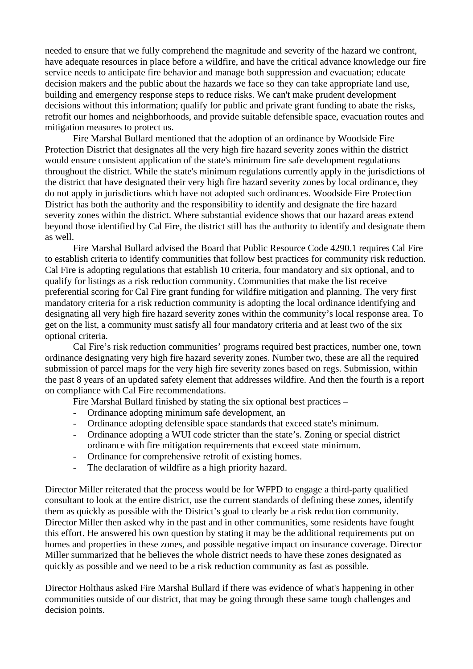needed to ensure that we fully comprehend the magnitude and severity of the hazard we confront, have adequate resources in place before a wildfire, and have the critical advance knowledge our fire service needs to anticipate fire behavior and manage both suppression and evacuation; educate decision makers and the public about the hazards we face so they can take appropriate land use, building and emergency response steps to reduce risks. We can't make prudent development decisions without this information; qualify for public and private grant funding to abate the risks, retrofit our homes and neighborhoods, and provide suitable defensible space, evacuation routes and mitigation measures to protect us.

Fire Marshal Bullard mentioned that the adoption of an ordinance by Woodside Fire Protection District that designates all the very high fire hazard severity zones within the district would ensure consistent application of the state's minimum fire safe development regulations throughout the district. While the state's minimum regulations currently apply in the jurisdictions of the district that have designated their very high fire hazard severity zones by local ordinance, they do not apply in jurisdictions which have not adopted such ordinances. Woodside Fire Protection District has both the authority and the responsibility to identify and designate the fire hazard severity zones within the district. Where substantial evidence shows that our hazard areas extend beyond those identified by Cal Fire, the district still has the authority to identify and designate them as well.

Fire Marshal Bullard advised the Board that Public Resource Code 4290.1 requires Cal Fire to establish criteria to identify communities that follow best practices for community risk reduction. Cal Fire is adopting regulations that establish 10 criteria, four mandatory and six optional, and to qualify for listings as a risk reduction community. Communities that make the list receive preferential scoring for Cal Fire grant funding for wildfire mitigation and planning. The very first mandatory criteria for a risk reduction community is adopting the local ordinance identifying and designating all very high fire hazard severity zones within the community's local response area. To get on the list, a community must satisfy all four mandatory criteria and at least two of the six optional criteria.

Cal Fire's risk reduction communities' programs required best practices, number one, town ordinance designating very high fire hazard severity zones. Number two, these are all the required submission of parcel maps for the very high fire severity zones based on regs. Submission, within the past 8 years of an updated safety element that addresses wildfire. And then the fourth is a report on compliance with Cal Fire recommendations.

Fire Marshal Bullard finished by stating the six optional best practices –

- Ordinance adopting minimum safe development, an
- Ordinance adopting defensible space standards that exceed state's minimum.
- Ordinance adopting a WUI code stricter than the state's. Zoning or special district ordinance with fire mitigation requirements that exceed state minimum.
- Ordinance for comprehensive retrofit of existing homes.
- The declaration of wildfire as a high priority hazard.

Director Miller reiterated that the process would be for WFPD to engage a third-party qualified consultant to look at the entire district, use the current standards of defining these zones, identify them as quickly as possible with the District's goal to clearly be a risk reduction community. Director Miller then asked why in the past and in other communities, some residents have fought this effort. He answered his own question by stating it may be the additional requirements put on homes and properties in these zones, and possible negative impact on insurance coverage. Director Miller summarized that he believes the whole district needs to have these zones designated as quickly as possible and we need to be a risk reduction community as fast as possible.

Director Holthaus asked Fire Marshal Bullard if there was evidence of what's happening in other communities outside of our district, that may be going through these same tough challenges and decision points.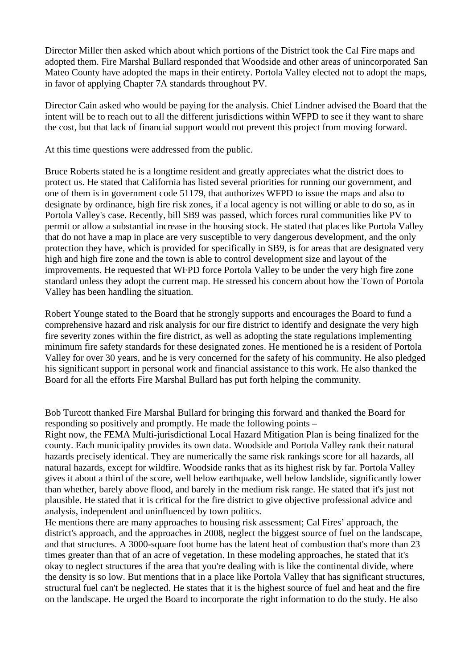Director Miller then asked which about which portions of the District took the Cal Fire maps and adopted them. Fire Marshal Bullard responded that Woodside and other areas of unincorporated San Mateo County have adopted the maps in their entirety. Portola Valley elected not to adopt the maps, in favor of applying Chapter 7A standards throughout PV.

Director Cain asked who would be paying for the analysis. Chief Lindner advised the Board that the intent will be to reach out to all the different jurisdictions within WFPD to see if they want to share the cost, but that lack of financial support would not prevent this project from moving forward.

At this time questions were addressed from the public.

Bruce Roberts stated he is a longtime resident and greatly appreciates what the district does to protect us. He stated that California has listed several priorities for running our government, and one of them is in government code 51179, that authorizes WFPD to issue the maps and also to designate by ordinance, high fire risk zones, if a local agency is not willing or able to do so, as in Portola Valley's case. Recently, bill SB9 was passed, which forces rural communities like PV to permit or allow a substantial increase in the housing stock. He stated that places like Portola Valley that do not have a map in place are very susceptible to very dangerous development, and the only protection they have, which is provided for specifically in SB9, is for areas that are designated very high and high fire zone and the town is able to control development size and layout of the improvements. He requested that WFPD force Portola Valley to be under the very high fire zone standard unless they adopt the current map. He stressed his concern about how the Town of Portola Valley has been handling the situation.

Robert Younge stated to the Board that he strongly supports and encourages the Board to fund a comprehensive hazard and risk analysis for our fire district to identify and designate the very high fire severity zones within the fire district, as well as adopting the state regulations implementing minimum fire safety standards for these designated zones. He mentioned he is a resident of Portola Valley for over 30 years, and he is very concerned for the safety of his community. He also pledged his significant support in personal work and financial assistance to this work. He also thanked the Board for all the efforts Fire Marshal Bullard has put forth helping the community.

Bob Turcott thanked Fire Marshal Bullard for bringing this forward and thanked the Board for responding so positively and promptly. He made the following points –

Right now, the FEMA Multi-jurisdictional Local Hazard Mitigation Plan is being finalized for the county. Each municipality provides its own data. Woodside and Portola Valley rank their natural hazards precisely identical. They are numerically the same risk rankings score for all hazards, all natural hazards, except for wildfire. Woodside ranks that as its highest risk by far. Portola Valley gives it about a third of the score, well below earthquake, well below landslide, significantly lower than whether, barely above flood, and barely in the medium risk range. He stated that it's just not plausible. He stated that it is critical for the fire district to give objective professional advice and analysis, independent and uninfluenced by town politics.

He mentions there are many approaches to housing risk assessment; Cal Fires' approach, the district's approach, and the approaches in 2008, neglect the biggest source of fuel on the landscape, and that structures. A 3000-square foot home has the latent heat of combustion that's more than 23 times greater than that of an acre of vegetation. In these modeling approaches, he stated that it's okay to neglect structures if the area that you're dealing with is like the continental divide, where the density is so low. But mentions that in a place like Portola Valley that has significant structures, structural fuel can't be neglected. He states that it is the highest source of fuel and heat and the fire on the landscape. He urged the Board to incorporate the right information to do the study. He also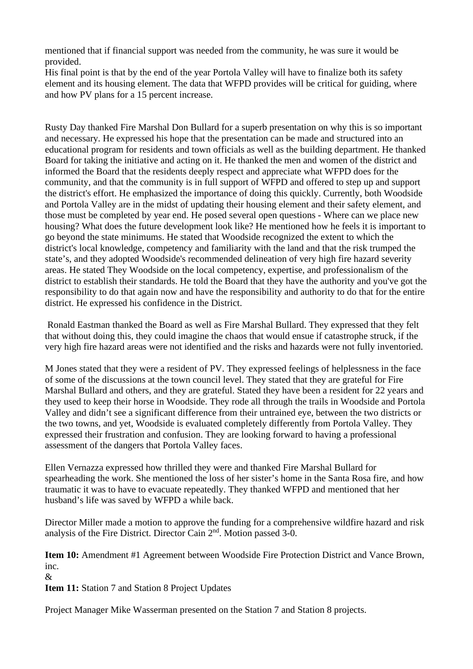mentioned that if financial support was needed from the community, he was sure it would be provided.

His final point is that by the end of the year Portola Valley will have to finalize both its safety element and its housing element. The data that WFPD provides will be critical for guiding, where and how PV plans for a 15 percent increase.

Rusty Day thanked Fire Marshal Don Bullard for a superb presentation on why this is so important and necessary. He expressed his hope that the presentation can be made and structured into an educational program for residents and town officials as well as the building department. He thanked Board for taking the initiative and acting on it. He thanked the men and women of the district and informed the Board that the residents deeply respect and appreciate what WFPD does for the community, and that the community is in full support of WFPD and offered to step up and support the district's effort. He emphasized the importance of doing this quickly. Currently, both Woodside and Portola Valley are in the midst of updating their housing element and their safety element, and those must be completed by year end. He posed several open questions - Where can we place new housing? What does the future development look like? He mentioned how he feels it is important to go beyond the state minimums. He stated that Woodside recognized the extent to which the district's local knowledge, competency and familiarity with the land and that the risk trumped the state's, and they adopted Woodside's recommended delineation of very high fire hazard severity areas. He stated They Woodside on the local competency, expertise, and professionalism of the district to establish their standards. He told the Board that they have the authority and you've got the responsibility to do that again now and have the responsibility and authority to do that for the entire district. He expressed his confidence in the District.

Ronald Eastman thanked the Board as well as Fire Marshal Bullard. They expressed that they felt that without doing this, they could imagine the chaos that would ensue if catastrophe struck, if the very high fire hazard areas were not identified and the risks and hazards were not fully inventoried.

M Jones stated that they were a resident of PV. They expressed feelings of helplessness in the face of some of the discussions at the town council level. They stated that they are grateful for Fire Marshal Bullard and others, and they are grateful. Stated they have been a resident for 22 years and they used to keep their horse in Woodside. They rode all through the trails in Woodside and Portola Valley and didn't see a significant difference from their untrained eye, between the two districts or the two towns, and yet, Woodside is evaluated completely differently from Portola Valley. They expressed their frustration and confusion. They are looking forward to having a professional assessment of the dangers that Portola Valley faces.

Ellen Vernazza expressed how thrilled they were and thanked Fire Marshal Bullard for spearheading the work. She mentioned the loss of her sister's home in the Santa Rosa fire, and how traumatic it was to have to evacuate repeatedly. They thanked WFPD and mentioned that her husband's life was saved by WFPD a while back.

Director Miller made a motion to approve the funding for a comprehensive wildfire hazard and risk analysis of the Fire District. Director Cain 2nd. Motion passed 3-0.

**Item 10:** Amendment #1 Agreement between Woodside Fire Protection District and Vance Brown, inc.

&

**Item 11:** Station 7 and Station 8 Project Updates

Project Manager Mike Wasserman presented on the Station 7 and Station 8 projects.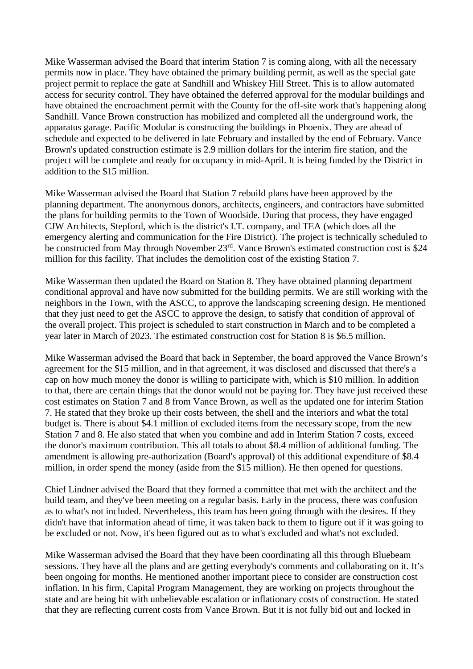Mike Wasserman advised the Board that interim Station 7 is coming along, with all the necessary permits now in place. They have obtained the primary building permit, as well as the special gate project permit to replace the gate at Sandhill and Whiskey Hill Street. This is to allow automated access for security control. They have obtained the deferred approval for the modular buildings and have obtained the encroachment permit with the County for the off-site work that's happening along Sandhill. Vance Brown construction has mobilized and completed all the underground work, the apparatus garage. Pacific Modular is constructing the buildings in Phoenix. They are ahead of schedule and expected to be delivered in late February and installed by the end of February. Vance Brown's updated construction estimate is 2.9 million dollars for the interim fire station, and the project will be complete and ready for occupancy in mid-April. It is being funded by the District in addition to the \$15 million.

Mike Wasserman advised the Board that Station 7 rebuild plans have been approved by the planning department. The anonymous donors, architects, engineers, and contractors have submitted the plans for building permits to the Town of Woodside. During that process, they have engaged CJW Architects, Stepford, which is the district's I.T. company, and TEA (which does all the emergency alerting and communication for the Fire District). The project is technically scheduled to be constructed from May through November 23<sup>rd</sup>. Vance Brown's estimated construction cost is \$24 million for this facility. That includes the demolition cost of the existing Station 7.

Mike Wasserman then updated the Board on Station 8. They have obtained planning department conditional approval and have now submitted for the building permits. We are still working with the neighbors in the Town, with the ASCC, to approve the landscaping screening design. He mentioned that they just need to get the ASCC to approve the design, to satisfy that condition of approval of the overall project. This project is scheduled to start construction in March and to be completed a year later in March of 2023. The estimated construction cost for Station 8 is \$6.5 million.

Mike Wasserman advised the Board that back in September, the board approved the Vance Brown's agreement for the \$15 million, and in that agreement, it was disclosed and discussed that there's a cap on how much money the donor is willing to participate with, which is \$10 million. In addition to that, there are certain things that the donor would not be paying for. They have just received these cost estimates on Station 7 and 8 from Vance Brown, as well as the updated one for interim Station 7. He stated that they broke up their costs between, the shell and the interiors and what the total budget is. There is about \$4.1 million of excluded items from the necessary scope, from the new Station 7 and 8. He also stated that when you combine and add in Interim Station 7 costs, exceed the donor's maximum contribution. This all totals to about \$8.4 million of additional funding. The amendment is allowing pre-authorization (Board's approval) of this additional expenditure of \$8.4 million, in order spend the money (aside from the \$15 million). He then opened for questions.

Chief Lindner advised the Board that they formed a committee that met with the architect and the build team, and they've been meeting on a regular basis. Early in the process, there was confusion as to what's not included. Nevertheless, this team has been going through with the desires. If they didn't have that information ahead of time, it was taken back to them to figure out if it was going to be excluded or not. Now, it's been figured out as to what's excluded and what's not excluded.

Mike Wasserman advised the Board that they have been coordinating all this through Bluebeam sessions. They have all the plans and are getting everybody's comments and collaborating on it. It's been ongoing for months. He mentioned another important piece to consider are construction cost inflation. In his firm, Capital Program Management, they are working on projects throughout the state and are being hit with unbelievable escalation or inflationary costs of construction. He stated that they are reflecting current costs from Vance Brown. But it is not fully bid out and locked in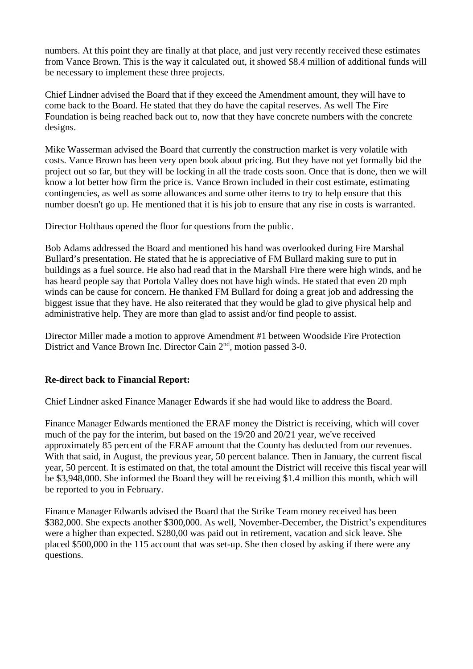numbers. At this point they are finally at that place, and just very recently received these estimates from Vance Brown. This is the way it calculated out, it showed \$8.4 million of additional funds will be necessary to implement these three projects.

Chief Lindner advised the Board that if they exceed the Amendment amount, they will have to come back to the Board. He stated that they do have the capital reserves. As well The Fire Foundation is being reached back out to, now that they have concrete numbers with the concrete designs.

Mike Wasserman advised the Board that currently the construction market is very volatile with costs. Vance Brown has been very open book about pricing. But they have not yet formally bid the project out so far, but they will be locking in all the trade costs soon. Once that is done, then we will know a lot better how firm the price is. Vance Brown included in their cost estimate, estimating contingencies, as well as some allowances and some other items to try to help ensure that this number doesn't go up. He mentioned that it is his job to ensure that any rise in costs is warranted.

Director Holthaus opened the floor for questions from the public.

Bob Adams addressed the Board and mentioned his hand was overlooked during Fire Marshal Bullard's presentation. He stated that he is appreciative of FM Bullard making sure to put in buildings as a fuel source. He also had read that in the Marshall Fire there were high winds, and he has heard people say that Portola Valley does not have high winds. He stated that even 20 mph winds can be cause for concern. He thanked FM Bullard for doing a great job and addressing the biggest issue that they have. He also reiterated that they would be glad to give physical help and administrative help. They are more than glad to assist and/or find people to assist.

Director Miller made a motion to approve Amendment #1 between Woodside Fire Protection District and Vance Brown Inc. Director Cain 2<sup>nd</sup>, motion passed 3-0.

# **Re-direct back to Financial Report:**

Chief Lindner asked Finance Manager Edwards if she had would like to address the Board.

Finance Manager Edwards mentioned the ERAF money the District is receiving, which will cover much of the pay for the interim, but based on the 19/20 and 20/21 year, we've received approximately 85 percent of the ERAF amount that the County has deducted from our revenues. With that said, in August, the previous year, 50 percent balance. Then in January, the current fiscal year, 50 percent. It is estimated on that, the total amount the District will receive this fiscal year will be \$3,948,000. She informed the Board they will be receiving \$1.4 million this month, which will be reported to you in February.

Finance Manager Edwards advised the Board that the Strike Team money received has been \$382,000. She expects another \$300,000. As well, November-December, the District's expenditures were a higher than expected. \$280,00 was paid out in retirement, vacation and sick leave. She placed \$500,000 in the 115 account that was set-up. She then closed by asking if there were any questions.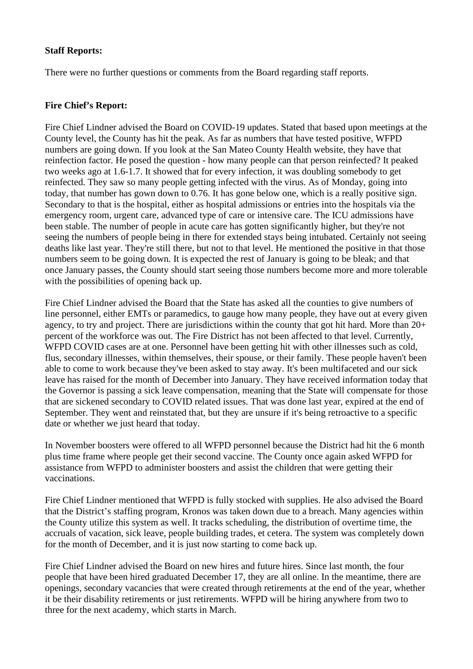## **Staff Reports:**

There were no further questions or comments from the Board regarding staff reports.

### **Fire Chief's Report:**

Fire Chief Lindner advised the Board on COVID-19 updates. Stated that based upon meetings at the County level, the County has hit the peak. As far as numbers that have tested positive, WFPD numbers are going down. If you look at the San Mateo County Health website, they have that reinfection factor. He posed the question - how many people can that person reinfected? It peaked two weeks ago at 1.6-1.7. It showed that for every infection, it was doubling somebody to get reinfected. They saw so many people getting infected with the virus. As of Monday, going into today, that number has gown down to 0.76. It has gone below one, which is a really positive sign. Secondary to that is the hospital, either as hospital admissions or entries into the hospitals via the emergency room, urgent care, advanced type of care or intensive care. The ICU admissions have been stable. The number of people in acute care has gotten significantly higher, but they're not seeing the numbers of people being in there for extended stays being intubated. Certainly not seeing deaths like last year. They're still there, but not to that level. He mentioned the positive in that those numbers seem to be going down. It is expected the rest of January is going to be bleak; and that once January passes, the County should start seeing those numbers become more and more tolerable with the possibilities of opening back up.

Fire Chief Lindner advised the Board that the State has asked all the counties to give numbers of line personnel, either EMTs or paramedics, to gauge how many people, they have out at every given agency, to try and project. There are jurisdictions within the county that got hit hard. More than 20+ percent of the workforce was out. The Fire District has not been affected to that level. Currently, WFPD COVID cases are at one. Personnel have been getting hit with other illnesses such as cold, flus, secondary illnesses, within themselves, their spouse, or their family. These people haven't been able to come to work because they've been asked to stay away. It's been multifaceted and our sick leave has raised for the month of December into January. They have received information today that the Governor is passing a sick leave compensation, meaning that the State will compensate for those that are sickened secondary to COVID related issues. That was done last year, expired at the end of September. They went and reinstated that, but they are unsure if it's being retroactive to a specific date or whether we just heard that today.

In November boosters were offered to all WFPD personnel because the District had hit the 6 month plus time frame where people get their second vaccine. The County once again asked WFPD for assistance from WFPD to administer boosters and assist the children that were getting their vaccinations.

Fire Chief Lindner mentioned that WFPD is fully stocked with supplies. He also advised the Board that the District's staffing program, Kronos was taken down due to a breach. Many agencies within the County utilize this system as well. It tracks scheduling, the distribution of overtime time, the accruals of vacation, sick leave, people building trades, et cetera. The system was completely down for the month of December, and it is just now starting to come back up.

Fire Chief Lindner advised the Board on new hires and future hires. Since last month, the four people that have been hired graduated December 17, they are all online. In the meantime, there are openings, secondary vacancies that were created through retirements at the end of the year, whether it be their disability retirements or just retirements. WFPD will be hiring anywhere from two to three for the next academy, which starts in March.